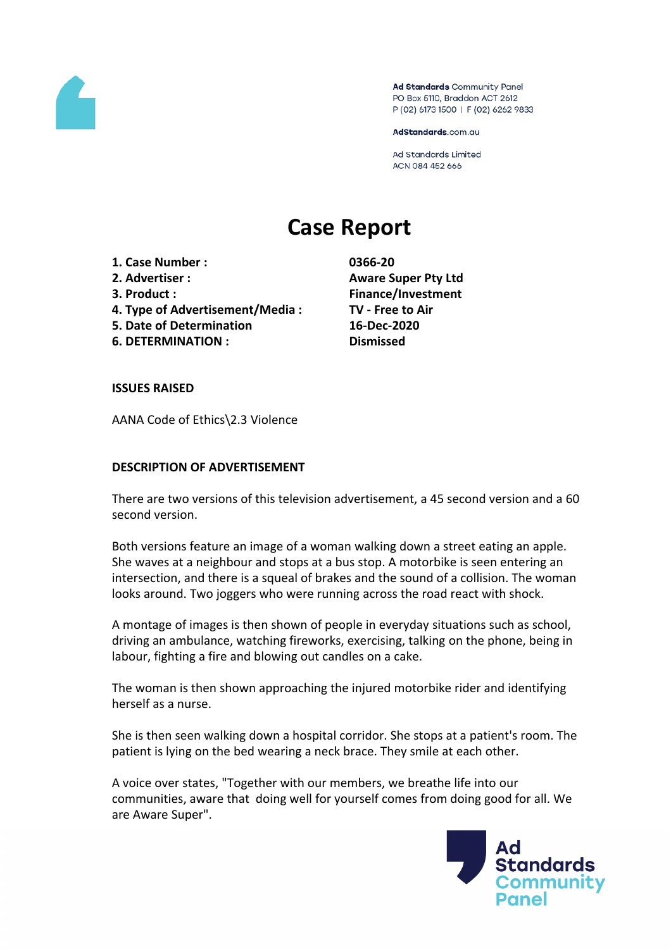

Ad Standards Community Panel PO Box 5110, Braddon ACT 2612 P (02) 6173 1500 | F (02) 6262 9833

AdStandards.com.au

**Ad Standards Limited** ACN 084 452 666

# **Case Report**

**1. Case Number : 0366-20 2. Advertiser : Aware Super Pty Ltd 3. Product : Finance/Investment 4. Type of Advertisement/Media : TV - Free to Air 5. Date of Determination 16-Dec-2020**

**6. DETERMINATION : Dismissed**

#### **ISSUES RAISED**

AANA Code of Ethics\2.3 Violence

#### **DESCRIPTION OF ADVERTISEMENT**

There are two versions of this television advertisement, a 45 second version and a 60 second version.

Both versions feature an image of a woman walking down a street eating an apple. She waves at a neighbour and stops at a bus stop. A motorbike is seen entering an intersection, and there is a squeal of brakes and the sound of a collision. The woman looks around. Two joggers who were running across the road react with shock.

A montage of images is then shown of people in everyday situations such as school, driving an ambulance, watching fireworks, exercising, talking on the phone, being in labour, fighting a fire and blowing out candles on a cake.

The woman is then shown approaching the injured motorbike rider and identifying herself as a nurse.

She is then seen walking down a hospital corridor. She stops at a patient's room. The patient is lying on the bed wearing a neck brace. They smile at each other.

A voice over states, "Together with our members, we breathe life into our communities, aware that doing well for yourself comes from doing good for all. We are Aware Super".

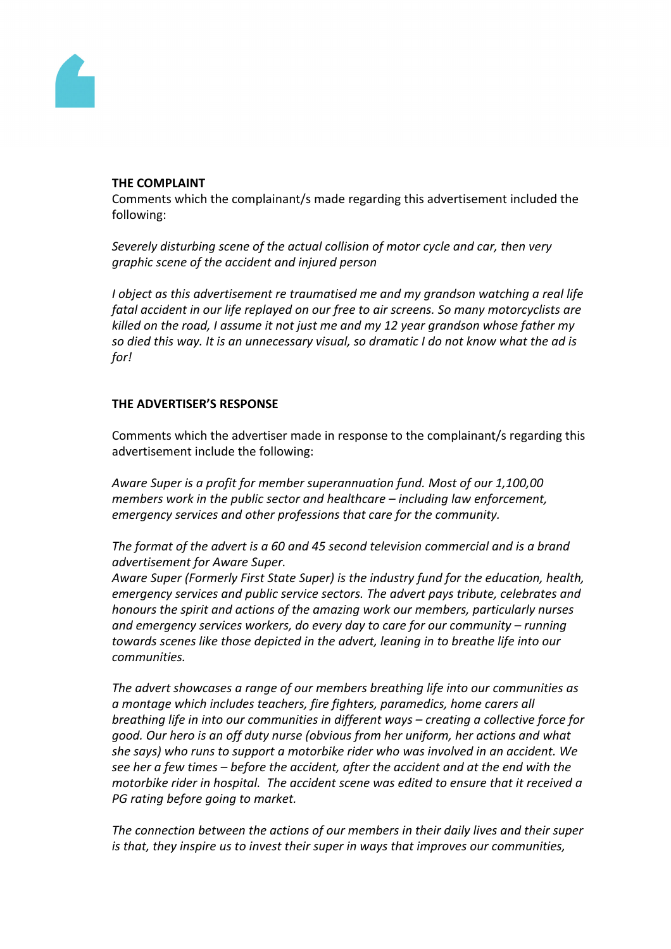

#### **THE COMPLAINT**

Comments which the complainant/s made regarding this advertisement included the following:

*Severely disturbing scene of the actual collision of motor cycle and car, then very graphic scene of the accident and injured person*

*I object as this advertisement re traumatised me and my grandson watching a real life fatal accident in our life replayed on our free to air screens. So many motorcyclists are killed on the road, I assume it not just me and my 12 year grandson whose father my so died this way. It is an unnecessary visual, so dramatic I do not know what the ad is for!*

## **THE ADVERTISER'S RESPONSE**

Comments which the advertiser made in response to the complainant/s regarding this advertisement include the following:

*Aware Super is a profit for member superannuation fund. Most of our 1,100,00 members work in the public sector and healthcare – including law enforcement, emergency services and other professions that care for the community.*

*The format of the advert is a 60 and 45 second television commercial and is a brand advertisement for Aware Super.*

*Aware Super (Formerly First State Super) is the industry fund for the education, health, emergency services and public service sectors. The advert pays tribute, celebrates and honours the spirit and actions of the amazing work our members, particularly nurses and emergency services workers, do every day to care for our community – running towards scenes like those depicted in the advert, leaning in to breathe life into our communities.* 

*The advert showcases a range of our members breathing life into our communities as a montage which includes teachers, fire fighters, paramedics, home carers all breathing life in into our communities in different ways – creating a collective force for good. Our hero is an off duty nurse (obvious from her uniform, her actions and what she says) who runs to support a motorbike rider who was involved in an accident. We see her a few times – before the accident, after the accident and at the end with the motorbike rider in hospital. The accident scene was edited to ensure that it received a PG rating before going to market.*

*The connection between the actions of our members in their daily lives and their super is that, they inspire us to invest their super in ways that improves our communities,*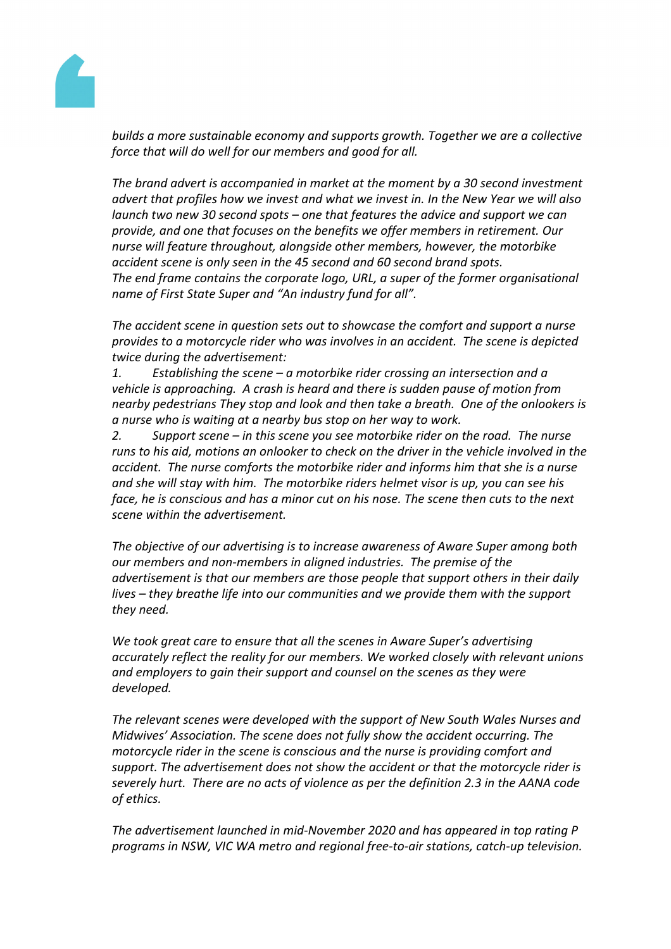

*builds a more sustainable economy and supports growth. Together we are a collective force that will do well for our members and good for all.*

*The brand advert is accompanied in market at the moment by a 30 second investment advert that profiles how we invest and what we invest in. In the New Year we will also launch two new 30 second spots – one that features the advice and support we can provide, and one that focuses on the benefits we offer members in retirement. Our nurse will feature throughout, alongside other members, however, the motorbike accident scene is only seen in the 45 second and 60 second brand spots. The end frame contains the corporate logo, URL, a super of the former organisational name of First State Super and "An industry fund for all".* 

*The accident scene in question sets out to showcase the comfort and support a nurse provides to a motorcycle rider who was involves in an accident. The scene is depicted twice during the advertisement:*

*1. Establishing the scene – a motorbike rider crossing an intersection and a vehicle is approaching. A crash is heard and there is sudden pause of motion from nearby pedestrians They stop and look and then take a breath. One of the onlookers is a nurse who is waiting at a nearby bus stop on her way to work.*

*2. Support scene – in this scene you see motorbike rider on the road. The nurse runs to his aid, motions an onlooker to check on the driver in the vehicle involved in the accident. The nurse comforts the motorbike rider and informs him that she is a nurse and she will stay with him. The motorbike riders helmet visor is up, you can see his face, he is conscious and has a minor cut on his nose. The scene then cuts to the next scene within the advertisement.*

*The objective of our advertising is to increase awareness of Aware Super among both our members and non-members in aligned industries. The premise of the advertisement is that our members are those people that support others in their daily lives – they breathe life into our communities and we provide them with the support they need.*

*We took great care to ensure that all the scenes in Aware Super's advertising accurately reflect the reality for our members. We worked closely with relevant unions and employers to gain their support and counsel on the scenes as they were developed.*

*The relevant scenes were developed with the support of New South Wales Nurses and Midwives' Association. The scene does not fully show the accident occurring. The motorcycle rider in the scene is conscious and the nurse is providing comfort and support. The advertisement does not show the accident or that the motorcycle rider is severely hurt. There are no acts of violence as per the definition 2.3 in the AANA code of ethics.*

*The advertisement launched in mid-November 2020 and has appeared in top rating P programs in NSW, VIC WA metro and regional free-to-air stations, catch-up television.*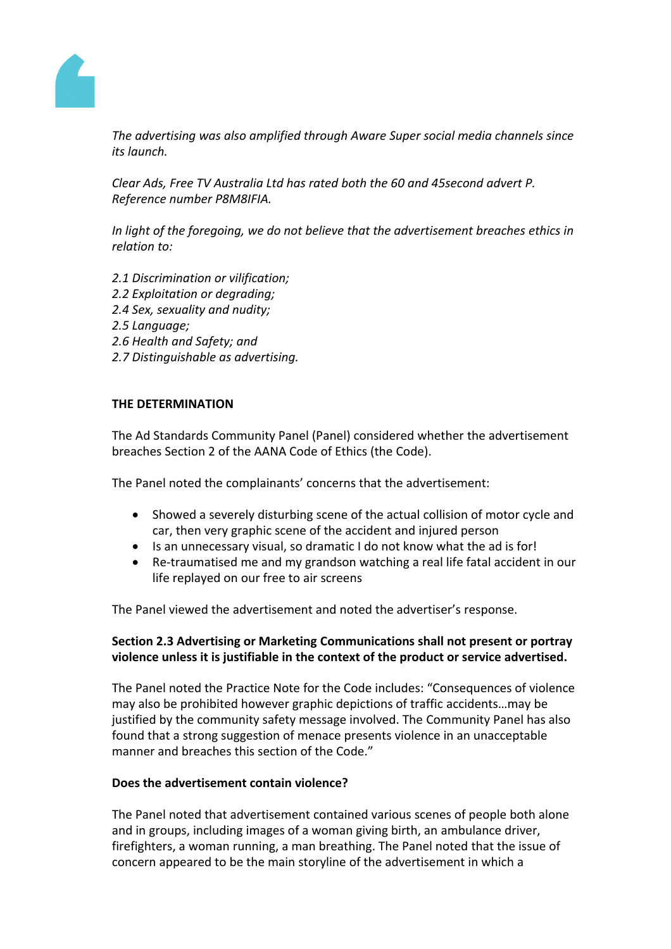

*The advertising was also amplified through Aware Super social media channels since its launch.* 

*Clear Ads, Free TV Australia Ltd has rated both the 60 and 45second advert P. Reference number P8M8IFIA.*

*In light of the foregoing, we do not believe that the advertisement breaches ethics in relation to:*

- *2.1 Discrimination or vilification;*
- *2.2 Exploitation or degrading;*
- *2.4 Sex, sexuality and nudity;*
- *2.5 Language;*
- *2.6 Health and Safety; and*
- *2.7 Distinguishable as advertising.*

#### **THE DETERMINATION**

The Ad Standards Community Panel (Panel) considered whether the advertisement breaches Section 2 of the AANA Code of Ethics (the Code).

The Panel noted the complainants' concerns that the advertisement:

- Showed a severely disturbing scene of the actual collision of motor cycle and car, then very graphic scene of the accident and injured person
- Is an unnecessary visual, so dramatic I do not know what the ad is for!
- Re-traumatised me and my grandson watching a real life fatal accident in our life replayed on our free to air screens

The Panel viewed the advertisement and noted the advertiser's response.

## **Section 2.3 Advertising or Marketing Communications shall not present or portray violence unless it is justifiable in the context of the product or service advertised.**

The Panel noted the Practice Note for the Code includes: "Consequences of violence may also be prohibited however graphic depictions of traffic accidents…may be justified by the community safety message involved. The Community Panel has also found that a strong suggestion of menace presents violence in an unacceptable manner and breaches this section of the Code."

## **Does the advertisement contain violence?**

The Panel noted that advertisement contained various scenes of people both alone and in groups, including images of a woman giving birth, an ambulance driver, firefighters, a woman running, a man breathing. The Panel noted that the issue of concern appeared to be the main storyline of the advertisement in which a